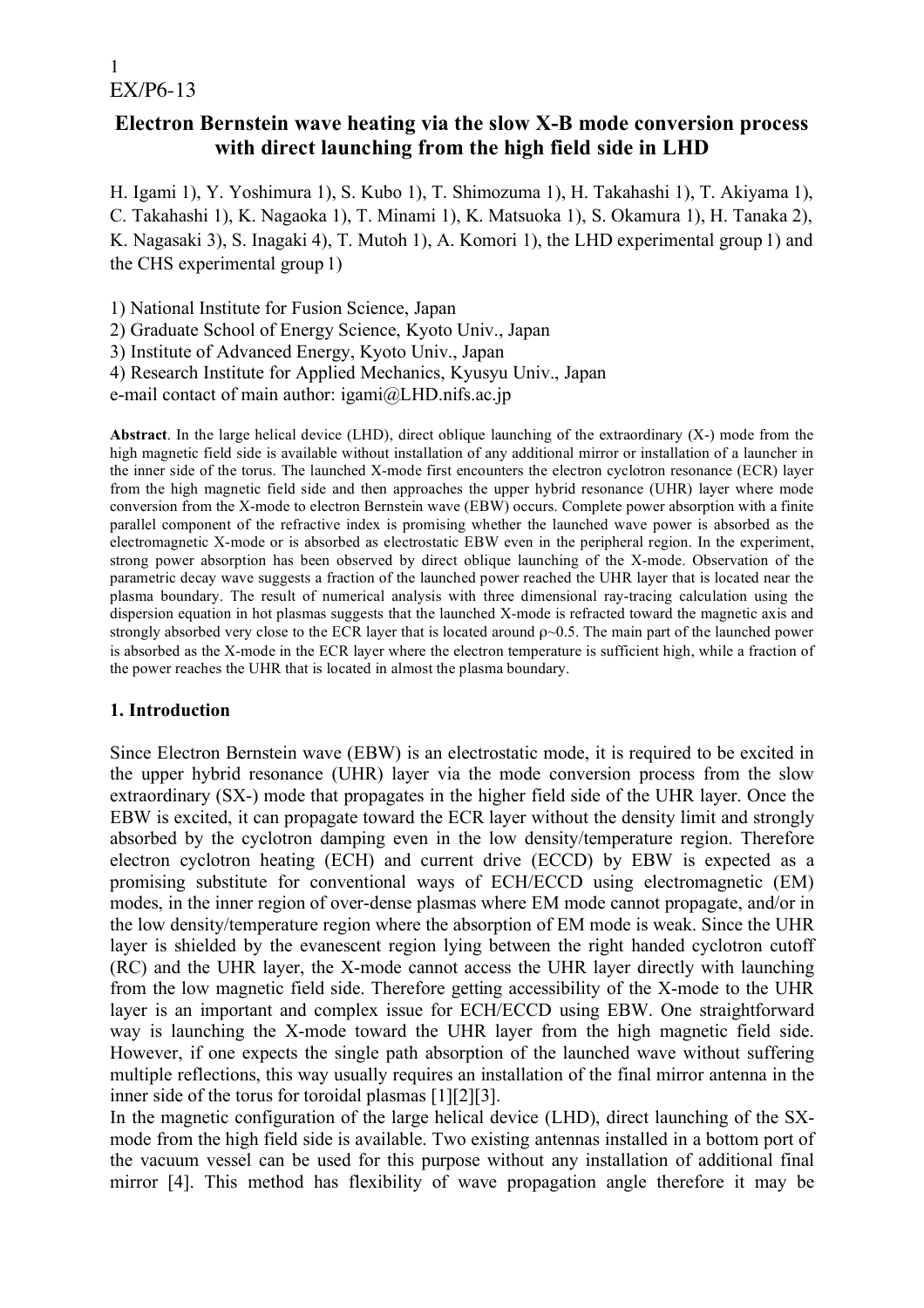## **Electron Bernstein wave heating via the slow X-B mode conversion process with direct launching from the high field side in LHD**

H. Igami 1), Y. Yoshimura 1), S. Kubo 1), T. Shimozuma 1), H. Takahashi 1), T. Akiyama 1), C. Takahashi 1), K. Nagaoka 1), T. Minami 1), K. Matsuoka 1), S. Okamura 1), H. Tanaka 2), K. Nagasaki 3), S. Inagaki 4), T. Mutoh 1), A. Komori 1), the LHD experimental group 1) and the CHS experimental group 1)

1) National Institute for Fusion Science, Japan

2) Graduate School of Energy Science, Kyoto Univ., Japan

3) Institute of Advanced Energy, Kyoto Univ., Japan

4) Research Institute for Applied Mechanics, Kyusyu Univ., Japan

e-mail contact of main author: igami@LHD.nifs.ac.jp

**Abstract**. In the large helical device (LHD), direct oblique launching of the extraordinary (X-) mode from the high magnetic field side is available without installation of any additional mirror or installation of a launcher in the inner side of the torus. The launched X-mode first encounters the electron cyclotron resonance (ECR) layer from the high magnetic field side and then approaches the upper hybrid resonance (UHR) layer where mode conversion from the X-mode to electron Bernstein wave (EBW) occurs. Complete power absorption with a finite parallel component of the refractive index is promising whether the launched wave power is absorbed as the electromagnetic X-mode or is absorbed as electrostatic EBW even in the peripheral region. In the experiment, strong power absorption has been observed by direct oblique launching of the X-mode. Observation of the parametric decay wave suggests a fraction of the launched power reached the UHR layer that is located near the plasma boundary. The result of numerical analysis with three dimensional ray-tracing calculation using the dispersion equation in hot plasmas suggests that the launched X-mode is refracted toward the magnetic axis and strongly absorbed very close to the ECR layer that is located around  $\rho \sim 0.5$ . The main part of the launched power is absorbed as the X-mode in the ECR layer where the electron temperature is sufficient high, while a fraction of the power reaches the UHR that is located in almost the plasma boundary.

### **1. Introduction**

Since Electron Bernstein wave (EBW) is an electrostatic mode, it is required to be excited in the upper hybrid resonance (UHR) layer via the mode conversion process from the slow extraordinary (SX-) mode that propagates in the higher field side of the UHR layer. Once the EBW is excited, it can propagate toward the ECR layer without the density limit and strongly absorbed by the cyclotron damping even in the low density/temperature region. Therefore electron cyclotron heating (ECH) and current drive (ECCD) by EBW is expected as a promising substitute for conventional ways of ECH/ECCD using electromagnetic (EM) modes, in the inner region of over-dense plasmas where EM mode cannot propagate, and/or in the low density/temperature region where the absorption of EM mode is weak. Since the UHR layer is shielded by the evanescent region lying between the right handed cyclotron cutoff (RC) and the UHR layer, the X-mode cannot access the UHR layer directly with launching from the low magnetic field side. Therefore getting accessibility of the X-mode to the UHR layer is an important and complex issue for ECH/ECCD using EBW. One straightforward way is launching the X-mode toward the UHR layer from the high magnetic field side. However, if one expects the single path absorption of the launched wave without suffering multiple reflections, this way usually requires an installation of the final mirror antenna in the inner side of the torus for toroidal plasmas [1][2][3].

In the magnetic configuration of the large helical device (LHD), direct launching of the SXmode from the high field side is available. Two existing antennas installed in a bottom port of the vacuum vessel can be used for this purpose without any installation of additional final mirror [4]. This method has flexibility of wave propagation angle therefore it may be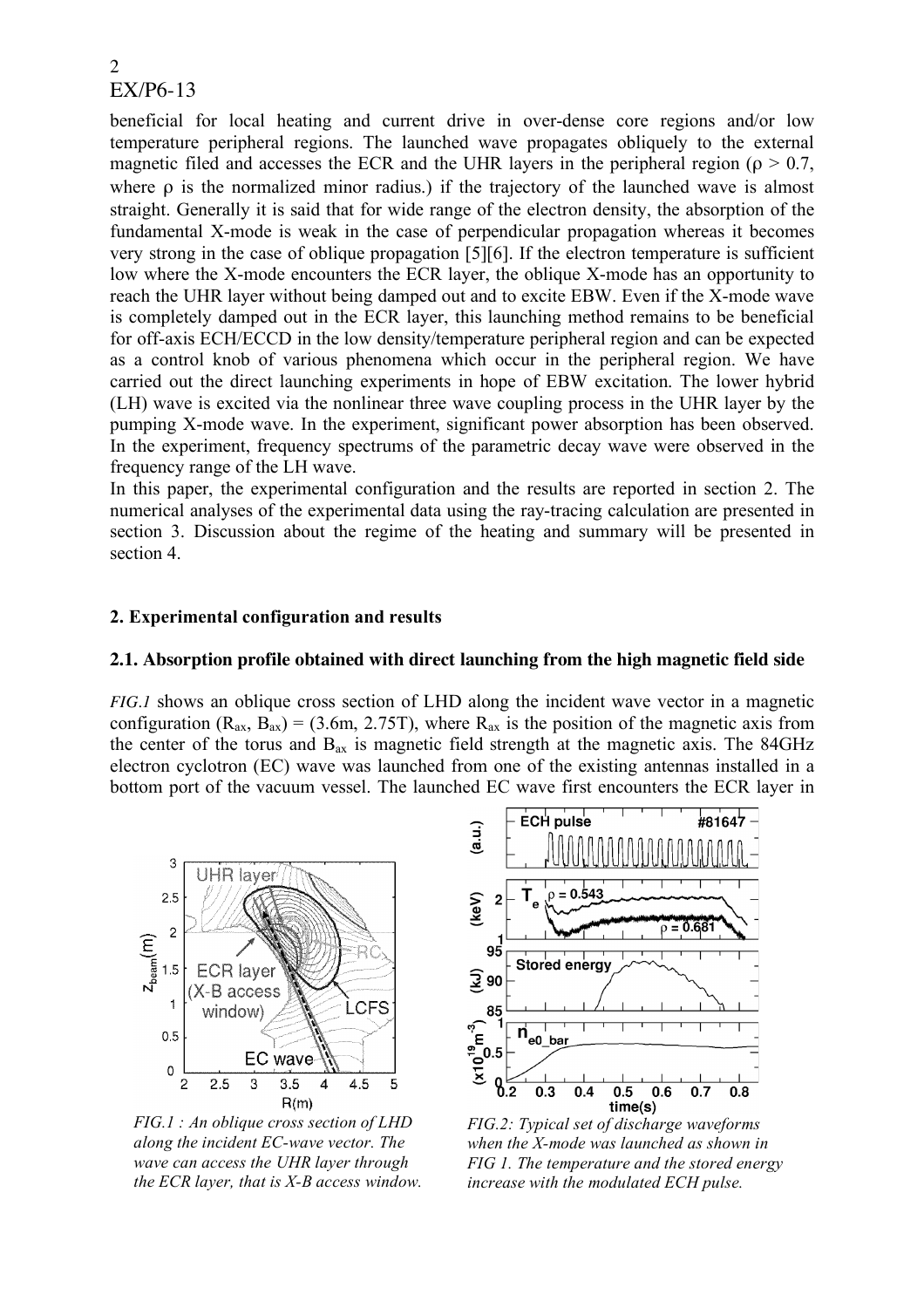beneficial for local heating and current drive in over-dense core regions and/or low temperature peripheral regions. The launched wave propagates obliquely to the external magnetic filed and accesses the ECR and the UHR layers in the peripheral region ( $\rho > 0.7$ , where ρ is the normalized minor radius.) if the trajectory of the launched wave is almost straight. Generally it is said that for wide range of the electron density, the absorption of the fundamental X-mode is weak in the case of perpendicular propagation whereas it becomes very strong in the case of oblique propagation [5][6]. If the electron temperature is sufficient low where the X-mode encounters the ECR layer, the oblique X-mode has an opportunity to reach the UHR layer without being damped out and to excite EBW. Even if the X-mode wave is completely damped out in the ECR layer, this launching method remains to be beneficial for off-axis ECH/ECCD in the low density/temperature peripheral region and can be expected as a control knob of various phenomena which occur in the peripheral region. We have carried out the direct launching experiments in hope of EBW excitation. The lower hybrid (LH) wave is excited via the nonlinear three wave coupling process in the UHR layer by the pumping X-mode wave. In the experiment, significant power absorption has been observed. In the experiment, frequency spectrums of the parametric decay wave were observed in the frequency range of the LH wave.

In this paper, the experimental configuration and the results are reported in section 2. The numerical analyses of the experimental data using the ray-tracing calculation are presented in section 3. Discussion about the regime of the heating and summary will be presented in section 4.

### **2. Experimental configuration and results**

### **2.1. Absorption profile obtained with direct launching from the high magnetic field side**

*FIG.1* shows an oblique cross section of LHD along the incident wave vector in a magnetic configuration ( $R_{ax}$ ,  $B_{ax}$ ) = (3.6m, 2.75T), where  $R_{ax}$  is the position of the magnetic axis from the center of the torus and  $B_{ax}$  is magnetic field strength at the magnetic axis. The 84GHz electron cyclotron (EC) wave was launched from one of the existing antennas installed in a bottom port of the vacuum vessel. The launched EC wave first encounters the ECR layer in



*FIG.1 : An oblique cross section of LHD along the incident EC-wave vector. The wave can access the UHR layer through the ECR layer, that is X-B access window.*



*FIG.2: Typical set of discharge waveforms when the X-mode was launched as shown in FIG 1. The temperature and the stored energy increase with the modulated ECH pulse.*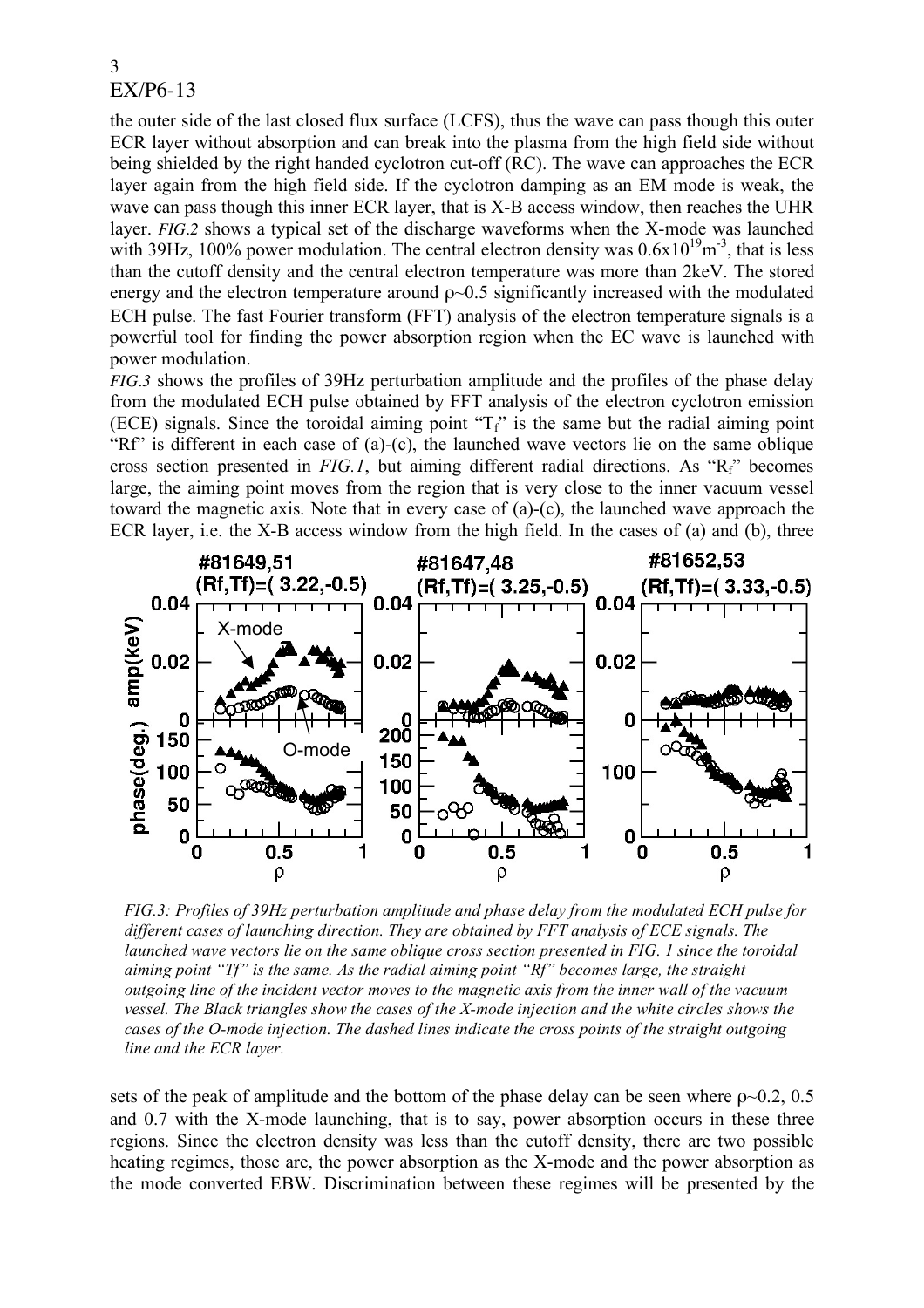the outer side of the last closed flux surface (LCFS), thus the wave can pass though this outer ECR layer without absorption and can break into the plasma from the high field side without being shielded by the right handed cyclotron cut-off (RC). The wave can approaches the ECR layer again from the high field side. If the cyclotron damping as an EM mode is weak, the wave can pass though this inner ECR layer, that is X-B access window, then reaches the UHR layer. *FIG.2* shows a typical set of the discharge waveforms when the X-mode was launched with 39Hz, 100% power modulation. The central electron density was  $0.6x10^{19}$ m<sup>-3</sup>, that is less than the cutoff density and the central electron temperature was more than 2keV. The stored energy and the electron temperature around  $\rho$   $\sim$ 0.5 significantly increased with the modulated ECH pulse. The fast Fourier transform (FFT) analysis of the electron temperature signals is a powerful tool for finding the power absorption region when the EC wave is launched with power modulation.

*FIG.3* shows the profiles of 39Hz perturbation amplitude and the profiles of the phase delay from the modulated ECH pulse obtained by FFT analysis of the electron cyclotron emission (ECE) signals. Since the toroidal aiming point " $T_f$ " is the same but the radial aiming point "Rf" is different in each case of (a)-(c), the launched wave vectors lie on the same oblique cross section presented in *FIG.1*, but aiming different radial directions. As "Rf" becomes large, the aiming point moves from the region that is very close to the inner vacuum vessel toward the magnetic axis. Note that in every case of (a)-(c), the launched wave approach the ECR layer, i.e. the X-B access window from the high field. In the cases of (a) and (b), three



*FIG.3: Profiles of 39Hz perturbation amplitude and phase delay from the modulated ECH pulse for different cases of launching direction. They are obtained by FFT analysis of ECE signals. The launched wave vectors lie on the same oblique cross section presented in FIG. 1 since the toroidal aiming point "Tf" is the same. As the radial aiming point "Rf" becomes large, the straight outgoing line of the incident vector moves to the magnetic axis from the inner wall of the vacuum vessel. The Black triangles show the cases of the X-mode injection and the white circles shows the cases of the O-mode injection. The dashed lines indicate the cross points of the straight outgoing line and the ECR layer.*

sets of the peak of amplitude and the bottom of the phase delay can be seen where  $\rho \sim 0.2$ , 0.5 and 0.7 with the X-mode launching, that is to say, power absorption occurs in these three regions. Since the electron density was less than the cutoff density, there are two possible heating regimes, those are, the power absorption as the X-mode and the power absorption as the mode converted EBW. Discrimination between these regimes will be presented by the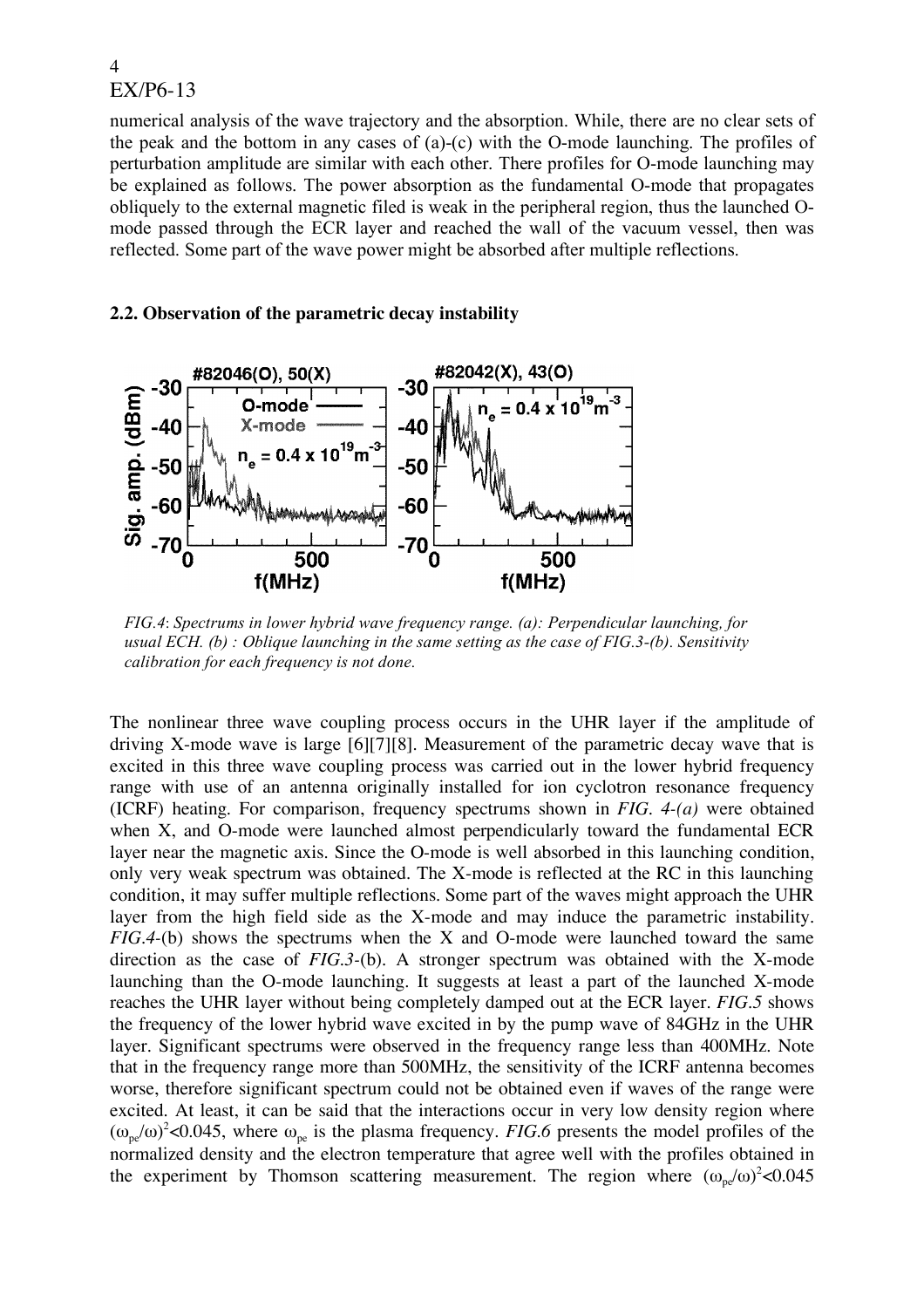numerical analysis of the wave trajectory and the absorption. While, there are no clear sets of the peak and the bottom in any cases of (a)-(c) with the O-mode launching. The profiles of perturbation amplitude are similar with each other. There profiles for O-mode launching may be explained as follows. The power absorption as the fundamental O-mode that propagates obliquely to the external magnetic filed is weak in the peripheral region, thus the launched Omode passed through the ECR layer and reached the wall of the vacuum vessel, then was reflected. Some part of the wave power might be absorbed after multiple reflections.

### **2.2. Observation of the parametric decay instability**



*FIG.4*: *Spectrums in lower hybrid wave frequency range. (a): Perpendicular launching, for usual ECH. (b) : Oblique launching in the same setting as the case of FIG.3-(b). Sensitivity calibration for each frequency is not done.*

The nonlinear three wave coupling process occurs in the UHR layer if the amplitude of driving X-mode wave is large [6][7][8]. Measurement of the parametric decay wave that is excited in this three wave coupling process was carried out in the lower hybrid frequency range with use of an antenna originally installed for ion cyclotron resonance frequency (ICRF) heating. For comparison, frequency spectrums shown in *FIG. 4-(a)* were obtained when X, and O-mode were launched almost perpendicularly toward the fundamental ECR layer near the magnetic axis. Since the O-mode is well absorbed in this launching condition, only very weak spectrum was obtained. The X-mode is reflected at the RC in this launching condition, it may suffer multiple reflections. Some part of the waves might approach the UHR layer from the high field side as the X-mode and may induce the parametric instability. *FIG.4-*(b) shows the spectrums when the X and O-mode were launched toward the same direction as the case of *FIG.3-*(b). A stronger spectrum was obtained with the X-mode launching than the O-mode launching. It suggests at least a part of the launched X-mode reaches the UHR layer without being completely damped out at the ECR layer. *FIG.5* shows the frequency of the lower hybrid wave excited in by the pump wave of 84GHz in the UHR layer. Significant spectrums were observed in the frequency range less than 400MHz. Note that in the frequency range more than 500MHz, the sensitivity of the ICRF antenna becomes worse, therefore significant spectrum could not be obtained even if waves of the range were excited. At least, it can be said that the interactions occur in very low density region where  $(\omega_{pe}/\omega)^2$ <0.045, where  $\omega_{pe}$  is the plasma frequency. *FIG.6* presents the model profiles of the normalized density and the electron temperature that agree well with the profiles obtained in the experiment by Thomson scattering measurement. The region where  $(\omega_{pe}/\omega)^2$  < 0.045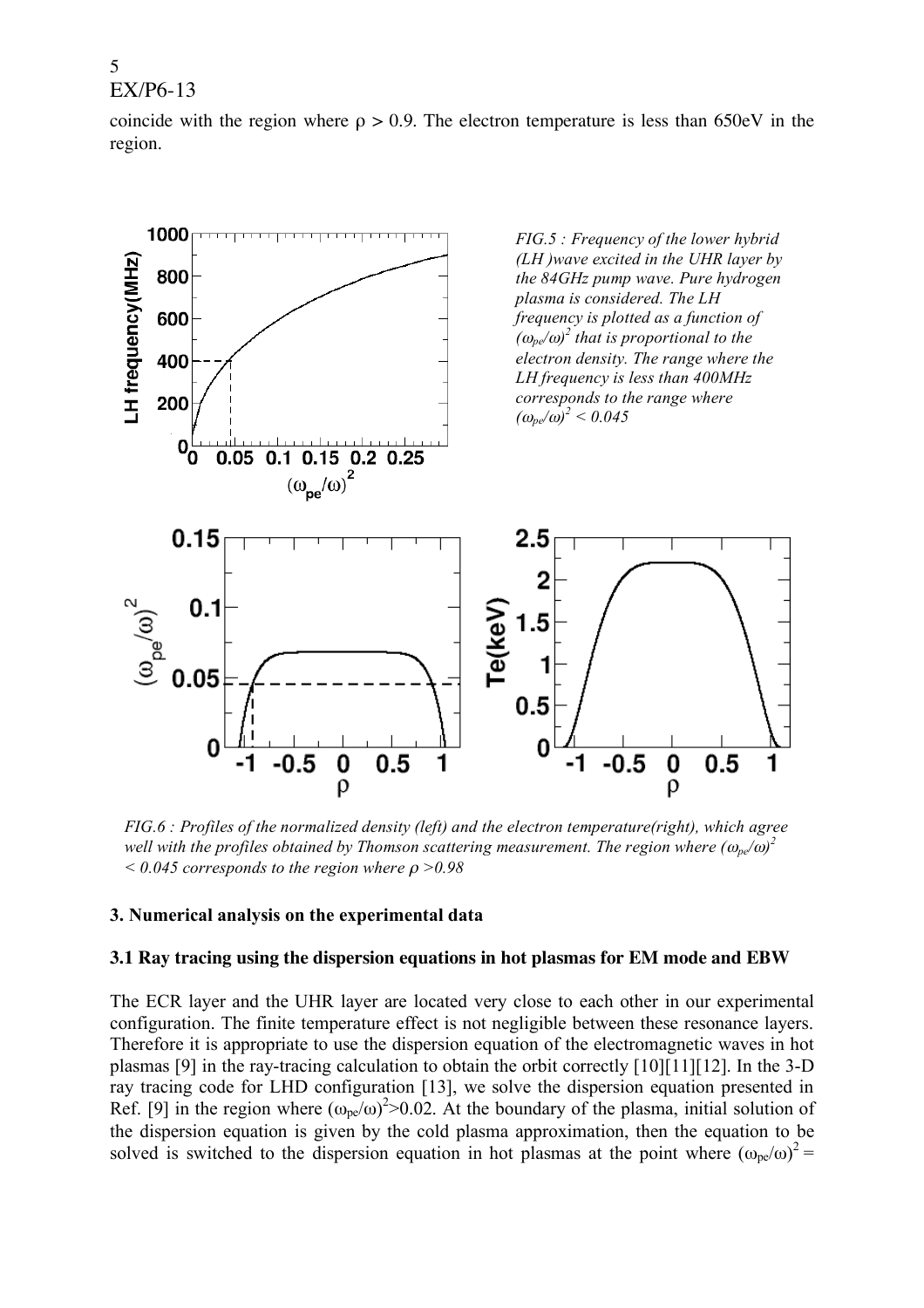coincide with the region where  $\rho > 0.9$ . The electron temperature is less than 650eV in the region.



*FIG.6 : Profiles of the normalized density (left) and the electron temperature(right), which agree well with the profiles obtained by Thomson scattering measurement. The region where (*ω*pe/*ω*) 2*  $\leq 0.045$  *corresponds to the region where*  $\rho > 0.98$ 

### **3. Numerical analysis on the experimental data**

#### **3.1 Ray tracing using the dispersion equations in hot plasmas for EM mode and EBW**

The ECR layer and the UHR layer are located very close to each other in our experimental configuration. The finite temperature effect is not negligible between these resonance layers. Therefore it is appropriate to use the dispersion equation of the electromagnetic waves in hot plasmas [9] in the ray-tracing calculation to obtain the orbit correctly [10][11][12]. In the 3-D ray tracing code for LHD configuration [13], we solve the dispersion equation presented in Ref. [9] in the region where  $(\omega_{pe}/\omega)^2 > 0.02$ . At the boundary of the plasma, initial solution of the dispersion equation is given by the cold plasma approximation, then the equation to be solved is switched to the dispersion equation in hot plasmas at the point where  $(\omega_{pe}/\omega)^2$  =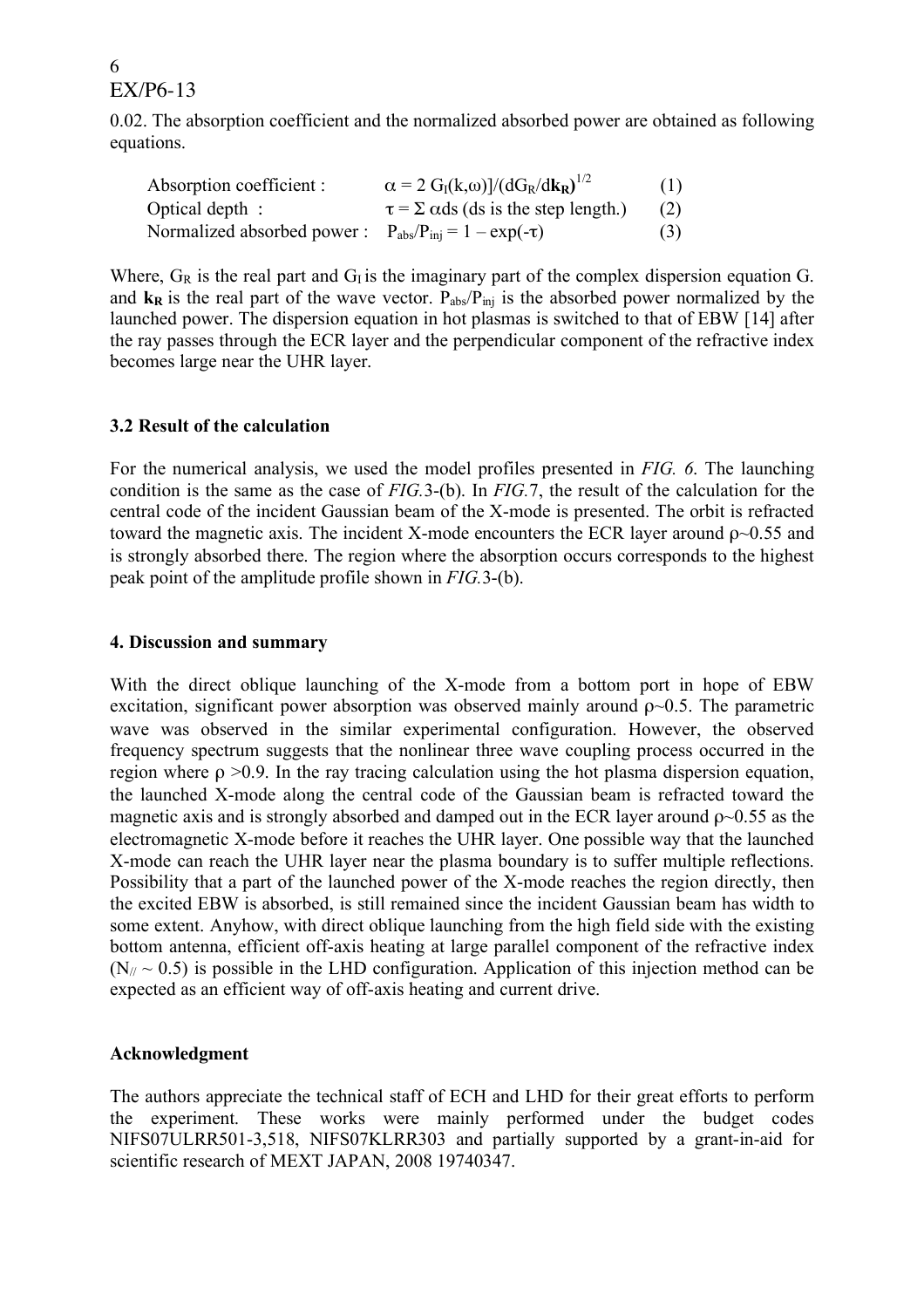0.02. The absorption coefficient and the normalized absorbed power are obtained as following equations.

| Absorption coefficient :                                                      | $\alpha = 2 G_I(k,\omega)/({dG_R/dk_R})^{1/2}$             | (1) |
|-------------------------------------------------------------------------------|------------------------------------------------------------|-----|
| Optical depth :                                                               | $\tau = \Sigma \text{ \alpha ds}$ (ds is the step length.) | (2) |
| Normalized absorbed power : $P_{\text{abs}}/P_{\text{ini}} = 1 - \exp(-\tau)$ |                                                            | (3) |

Where,  $G_R$  is the real part and  $G_I$  is the imaginary part of the complex dispersion equation G. and  $\bf{k}_R$  is the real part of the wave vector.  $P_{\text{abs}}/P_{\text{ini}}$  is the absorbed power normalized by the launched power. The dispersion equation in hot plasmas is switched to that of EBW [14] after the ray passes through the ECR layer and the perpendicular component of the refractive index becomes large near the UHR layer.

### **3.2 Result of the calculation**

For the numerical analysis, we used the model profiles presented in *FIG. 6*. The launching condition is the same as the case of *FIG.*3-(b). In *FIG.*7, the result of the calculation for the central code of the incident Gaussian beam of the X-mode is presented. The orbit is refracted toward the magnetic axis. The incident X-mode encounters the ECR layer around  $\rho$  $\sim$ 0.55 and is strongly absorbed there. The region where the absorption occurs corresponds to the highest peak point of the amplitude profile shown in *FIG.*3-(b).

### **4. Discussion and summary**

With the direct oblique launching of the X-mode from a bottom port in hope of EBW excitation, significant power absorption was observed mainly around  $\rho \sim 0.5$ . The parametric wave was observed in the similar experimental configuration. However, the observed frequency spectrum suggests that the nonlinear three wave coupling process occurred in the region where  $ρ > 0.9$ . In the ray tracing calculation using the hot plasma dispersion equation, the launched X-mode along the central code of the Gaussian beam is refracted toward the magnetic axis and is strongly absorbed and damped out in the ECR layer around  $\rho \sim 0.55$  as the electromagnetic X-mode before it reaches the UHR layer. One possible way that the launched X-mode can reach the UHR layer near the plasma boundary is to suffer multiple reflections. Possibility that a part of the launched power of the X-mode reaches the region directly, then the excited EBW is absorbed, is still remained since the incident Gaussian beam has width to some extent. Anyhow, with direct oblique launching from the high field side with the existing bottom antenna, efficient off-axis heating at large parallel component of the refractive index  $(N_{\ell} \sim 0.5)$  is possible in the LHD configuration. Application of this injection method can be expected as an efficient way of off-axis heating and current drive.

### **Acknowledgment**

The authors appreciate the technical staff of ECH and LHD for their great efforts to perform the experiment. These works were mainly performed under the budget codes NIFS07ULRR501-3,518, NIFS07KLRR303 and partially supported by a grant-in-aid for scientific research of MEXT JAPAN, 2008 19740347.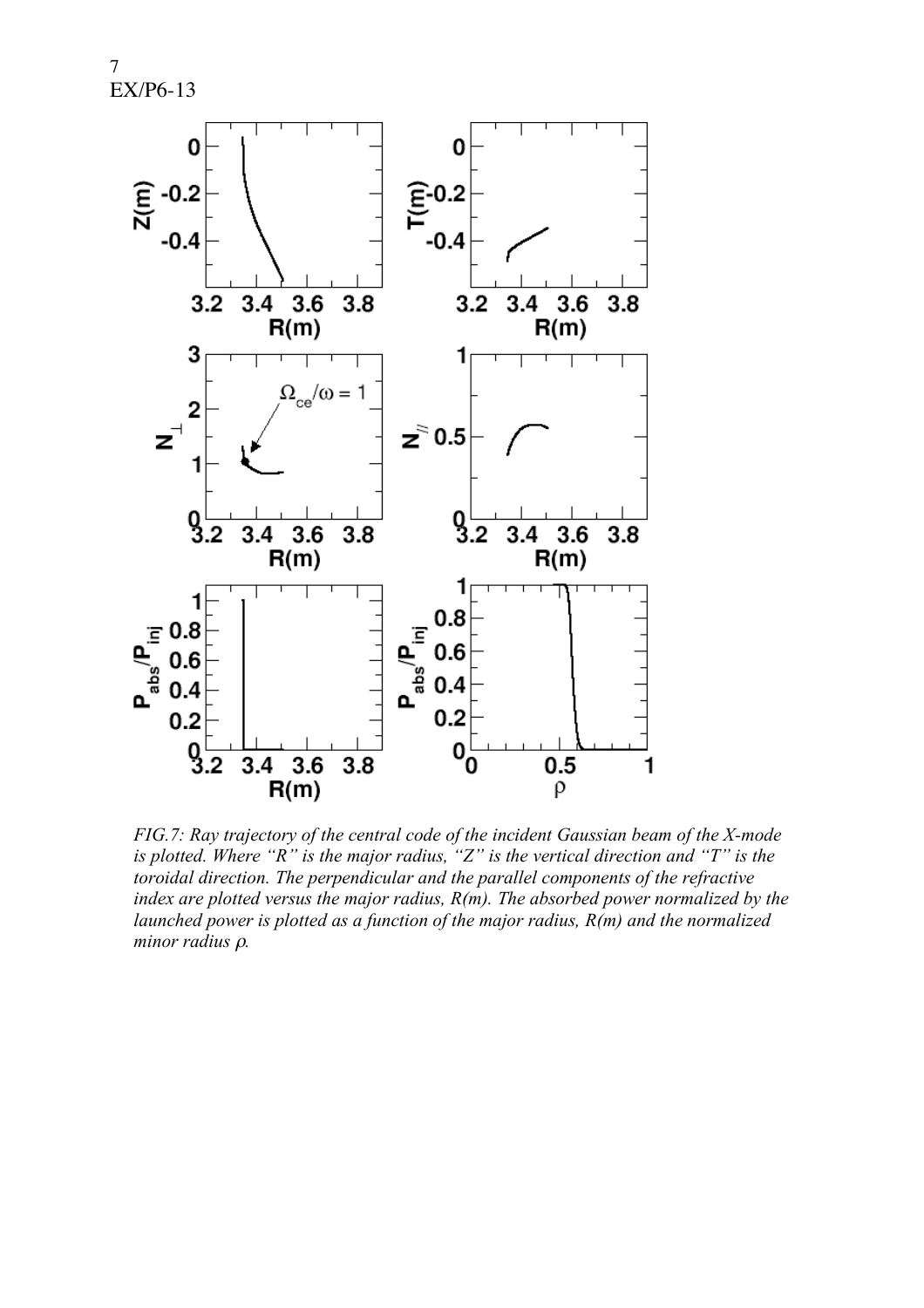

*FIG.7: Ray trajectory of the central code of the incident Gaussian beam of the X-mode is plotted. Where "R" is the major radius, "Z" is the vertical direction and "T" is the toroidal direction. The perpendicular and the parallel components of the refractive index are plotted versus the major radius, R(m). The absorbed power normalized by the launched power is plotted as a function of the major radius, R(m) and the normalized minor radius* <sup>ρ</sup>*.*